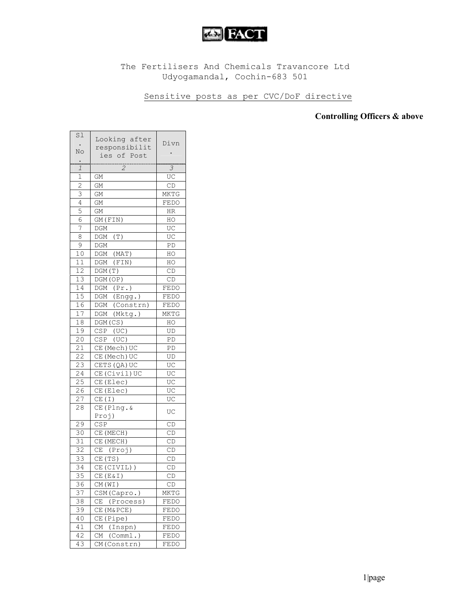

## The Fertilisers And Chemicals Travancore Ltd Udyogamandal, Cochin-683 501

## Sensitive posts as per CVC/DoF directive

## Controlling Officers & above

| Sl                  | Looking after            | Divn           |
|---------------------|--------------------------|----------------|
|                     | responsibilit            |                |
| No                  | ies of Post              |                |
| $\ddot{\cdot}$<br>1 | $\overline{z}$           | $\overline{3}$ |
| $\mathbf 1$         | GМ                       | UC             |
| $\overline{c}$      | GМ                       | CD             |
| 3                   | GМ                       | MKTG           |
| $\overline{4}$      | GM                       | FEDO           |
| 5                   | GM                       | HR             |
| $\overline{6}$      | $\overline{GM}$ (FIN)    | HO             |
| 7                   | DGM                      | UC             |
| 8                   | $DGM$ (T)                | UC             |
| $\mathsf 9$         | DGM                      | PD             |
| 10                  | DGM (MAT)                | HO             |
| 11                  | DGM (FIN)                | HO             |
| $\overline{12}$     | DGM(T)                   | CD             |
| 13                  | DGM(OP)                  | CD             |
| 14                  | DGM (Pr.)                | FEDO           |
| $\overline{15}$     | $\overline{DGM}$ (Engg.) | FEDO           |
| 16                  | DGM (Constrn)            | FEDO           |
| $\overline{17}$     | DGM (Mktg.)              | MKTG           |
| $\overline{18}$     | DGM (CS)                 | HO             |
| 19                  | CSP (UC)                 | UD             |
| 20                  | $CSP$ (UC)               | PD             |
| $\overline{2}1$     | CE (Mech) UC             | PD             |
| 22                  | CE (Mech) UC             | UD             |
| $2\bar{3}$          | CETS (QA) UC             | UC             |
| 24                  | CE (Civil) UC            | UC             |
| 25                  | CE(Elec)                 | UC             |
| $\overline{26}$     | CE(Elec)                 | UC             |
| $\overline{2}$ 7    | CE(I)                    | UC             |
| $\overline{28}$     | $CE(Plng.\&$             | UC             |
|                     | Proj)                    |                |
| 29                  | CSP                      | CD             |
| 30                  | CE (MECH)                | CD             |
| 31                  | CE (MECH)                | CD             |
| 32                  | CE (Proj)                | CD             |
| 33                  | CE(TS)                   | CD             |
| $\overline{34}$     | CE (CIVIL))              | CD             |
| 35                  | CE (E&I)                 | CD             |
| 36                  | CM(WI)                   | CD             |
| 37                  | CSM(Capro.)              | MKTG           |
| 38                  | CЕ<br>(Process)          | FEDO           |
| 39                  | CE (M&PCE)               | FEDO           |
| 40                  | CE(Pipe)                 | FEDO           |
| 41                  | CM (Inspn)               | FEDO           |
| 42                  | CM (Comml.)              | FEDO           |
| 43                  | CM(Constrn)              | FEDO           |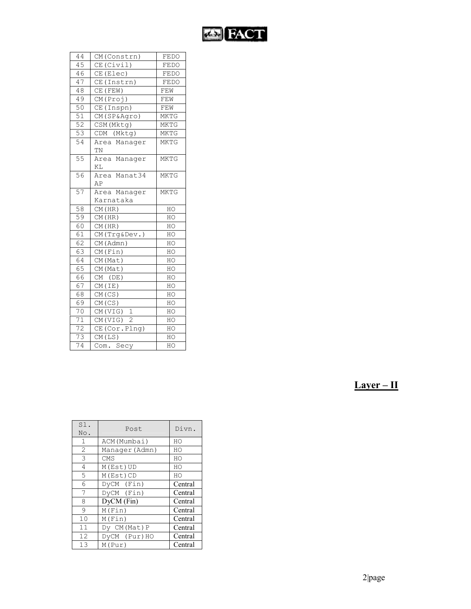

| 44               | CM (Constrn)              | FEDO        |
|------------------|---------------------------|-------------|
| 45               | CE (Civil)                | FEDO        |
| 46               | CE(Elec)                  | FEDO        |
| 47               | CE(Instrn)                | FEDO        |
| 48               | $CE$ (FEW)                | FEW         |
| 49               | CM(Proj)                  | FEW         |
| 50               | CE (Inspn)                | FEW         |
| 51               | CM(SP&Agro)               | <b>MKTG</b> |
| 52               | CSM (Mktg)                | <b>MKTG</b> |
| $\overline{53}$  | CDM (Mktg)                | MKTG        |
| $\overline{54}$  | Area Manager<br>TN        | <b>MKTG</b> |
| $\overline{55}$  | Area Manager<br>ΚL        | <b>MKTG</b> |
| 56               | Area Manat34<br>AP        | <b>MKTG</b> |
| 57               | Area Manager<br>Karnataka | <b>MKTG</b> |
| 58               | CM(HR)                    | HO          |
| 59               | CM(HR)                    | HO          |
| 60               | CM(HR)                    | HO          |
| 61               | CM(Trg&Dev.)              | HO          |
| 62               | CM (Admn)                 | HO          |
| 63               | CM(Fin)                   | HO          |
| 64               | CM (Mat)                  | HO          |
| 65               | CM(Mat)                   | HO          |
| 66               | CM (DE)                   | HO          |
| 67               | CM (IE)                   | HO          |
| 68               | CM(CS)                    | HO          |
| 69               | CM(CS)                    | HO          |
| 70               | CM(VIG) 1                 | HO          |
| 71               | CM(VIG) 2                 | HO          |
| 72               | CE (Cor. Plng)            | HO          |
| 73               | CM(LS)                    | HO          |
| $\overline{7}$ 4 | Com. Secy                 | HO          |

| ۰. | − |  |
|----|---|--|
|    |   |  |

| Sl.<br>No.     | Post           | Divn.   |
|----------------|----------------|---------|
| 1              | ACM (Mumbai)   | HO      |
| $\overline{2}$ | Manager (Admn) | HO      |
| 3              | CMS            | HO      |
| 4              | M(Est)UD       | HO      |
| 5              | M(Est)CD       | HO      |
| 6              | DyCM (Fin)     | Central |
| 7              | DyCM (Fin)     | Central |
| 8              | DyCM (Fin)     | Central |
| 9              | M(Fin)         | Central |
| 10             | M(Fin)         | Central |
| 11             | Dy CM (Mat) P  | Central |
| 12             | DyCM (Pur)HO   | Central |
| 13             | M(Pur)         | Central |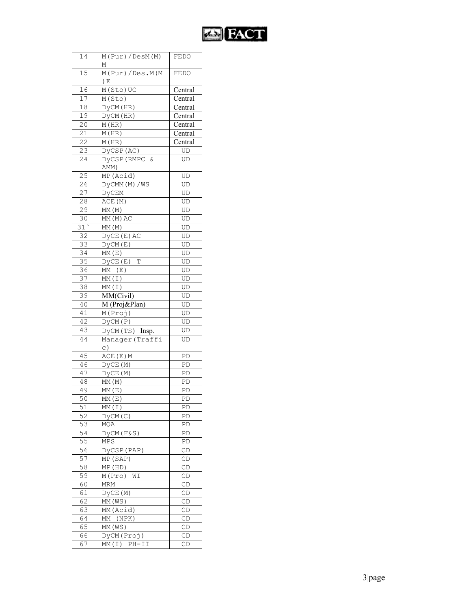

| 14              | M(Pur)/DesM(M)                  | FEDO                           |
|-----------------|---------------------------------|--------------------------------|
|                 | М                               |                                |
| 15              | $M(Pur)/\overline{Des.M(M)}$    | FEDO                           |
|                 | ) E                             |                                |
| 16              | $\overline{\mathbb{M}}$ (Sto)UC | Central                        |
| 17              | M(Sto)                          | Central                        |
| 18              | DyCM (HR)                       | Central                        |
| 19              | DyCM (HR)                       | Central                        |
| 20              | M(HR)                           | $\overline{\text{Central}}$    |
| 21              | M(HR)                           | Central                        |
| $\overline{22}$ | M(HR)                           | $\overline{\mathrm{C}}$ entral |
| $\overline{2}3$ | DyCSP(AC)                       | UD                             |
| 24              | DyCSP (RMPC &                   |                                |
|                 | AMM)                            | UD                             |
| 25              | MP (Acid)                       | UD                             |
| 26              | DyCMM(M)/WS                     | UD                             |
| 27              |                                 |                                |
|                 | DyCEM                           | UD                             |
| 28              | ACE (M)                         | UD                             |
| 29              | MM(M)                           | UD                             |
| 30              | MM(M)AC                         | UD                             |
| 31'             | MM (M)                          | UD                             |
| 32              | DYCE (E) AC                     | UD                             |
| 33              | $\overline{D}$ yCM(E)           | UD                             |
| 34              | MM(E)                           | UD                             |
| $\overline{35}$ | DyCE(E)<br>T                    | UD                             |
| $\overline{36}$ | MM (E)                          | UD                             |
| 37              | MM(I)                           | UD                             |
| 38              | MM(I)                           | UD                             |
| 39              | MM(Civil)                       | UD                             |
| 40              | M (Proj&Plan)                   | UD                             |
| 41              | M(Proj)                         | UD                             |
| 42              | DyCM(P)                         | UD                             |
| 43              | DYCM(TS) Insp.                  | UD                             |
| 44              | Manager (Traffi                 | UD                             |
|                 | $\subset$ )                     |                                |
| 45              | ACE (E) M                       | PD                             |
| 46              | DYCE (M)                        | PD                             |
| 47              | DyCE (M)                        | PD                             |
| 48              | MM(M)                           | PD                             |
| 49              | MM(E)                           | PD                             |
| 50              | MM(E)                           | PD                             |
| 51              | MM(I)                           | PD                             |
| $\overline{5}2$ | DyCM(C)                         | PD                             |
| 53              | MQA                             | PD                             |
| 54              | $DyCM(F\&S)$                    | PD                             |
| 55              | MPS                             | PD                             |
| 56              | DyCSP (PAP)                     | CD                             |
| 57              | MP (SAP)                        | CD                             |
| 58              | MP (HD)                         | CD                             |
| 59              | M(Pro) WI                       | CD                             |
| 60              | MRM                             | CD                             |
| 61              | DyCE(M)                         | $\mathbb{C}\mathbb{D}$         |
| 62              | MM (WS)                         | CD                             |
| 63              | MM (Acid)                       |                                |
|                 |                                 | CD                             |
| 64              | MM (NPK)                        | CD                             |
| 65              | MM(WS)                          | CD                             |
| 66              | DyCM(Proj)                      | $\mathbb{C}\mathbb{D}$         |
| 67              | $MM(I) PH-II$                   | CD                             |